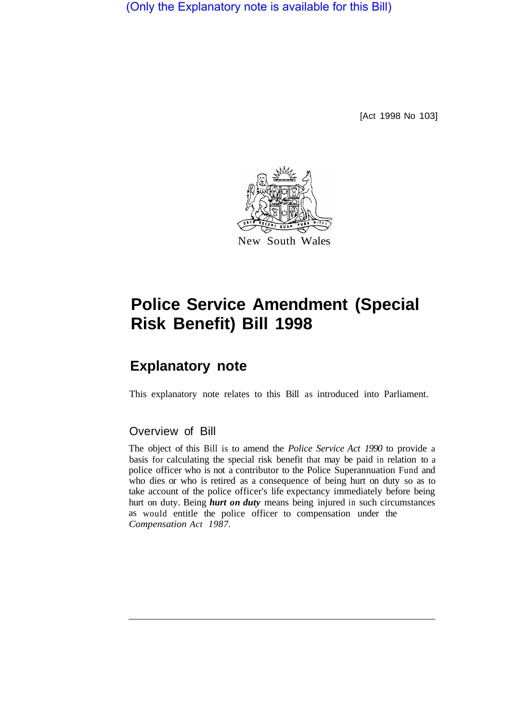(Only the Explanatory note is available for this Bill)

[Act 1998 No 103]



# **Police Service Amendment (Special Risk Benefit) Bill 1998**

## **Explanatory note**

This explanatory note relates to this Bill as introduced into Parliament.

### Overview of Bill

The object of this Bill is to amend the *Police Service Act 1990* to provide a basis for calculating the special risk benefit that may be paid in relation to a police officer who is not a contributor to the Police Superannuation Fund and who dies or who is retired as a consequence of being hurt on duty so as to take account of the police officer's life expectancy immediately before being hurt on duty. Being *hurt on duty* means being injured in such circumstances as would entitle the police officer to compensation under the *Compensation Act 1987.*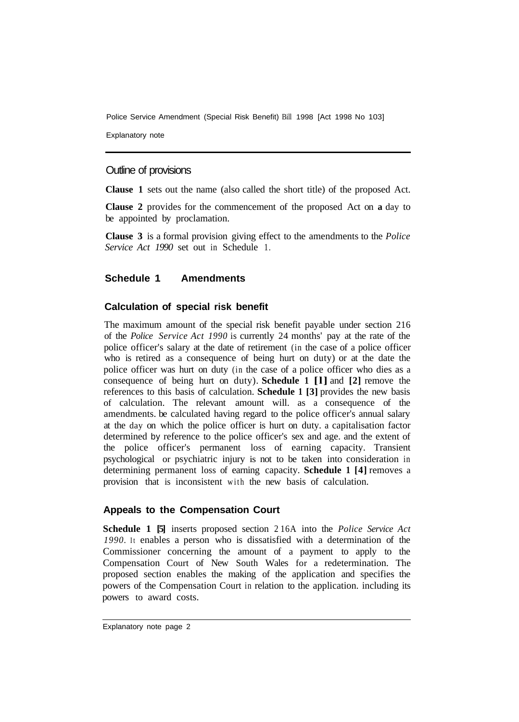Police Service Amendment (Special Risk Benefit) Bill 1998 [Act 1998 No 103]

Explanatory note

#### Outline of provisions

**Clause 1** sets out the name (also called the short title) of the proposed Act.

**Clause 2** provides for the commencement of the proposed Act on **a** day to be appointed by proclamation.

**Clause 3** is a formal provision giving effect to the amendments to the *Police Service Act 1990* set out in Schedule 1.

#### **Schedule 1 Amendments**

#### **Calculation of special risk benefit**

The maximum amount of the special risk benefit payable under section 216 of the *Police Service Act 1990* is currently 24 months' pay at the rate of the police officer's salary at the date of retirement (in the case of a police officer who is retired as a consequence of being hurt on duty) or at the date the police officer was hurt on duty (in the case of a police officer who dies as a consequence of being hurt on duty). **Schedule 1 [l]** and **[2]** remove the references to this basis of calculation. **Schedule 1 [3]** provides the new basis of calculation. The relevant amount will. as a consequence of the amendments. be calculated having regard to the police officer's annual salary at the day on which the police officer is hurt on duty. a capitalisation factor determined by reference to the police officer's sex and age. and the extent of the police officer's permanent loss of earning capacity. Transient psychological or psychiatric injury is not to be taken into consideration in determining permanent loss of earning capacity. **Schedule 1 [4]** removes a provision that is inconsistent with the new basis of calculation.

#### **Appeals to the Compensation Court**

**Schedule 1 [5]** inserts proposed section 2 16A into the *Police Service Act 1990.* It enables a person who is dissatisfied with a determination of the Commissioner concerning the amount of a payment to apply to the Compensation Court of New South Wales for a redetermination. The proposed section enables the making of the application and specifies the powers of the Compensation Court in relation to the application. including its powers to award costs.